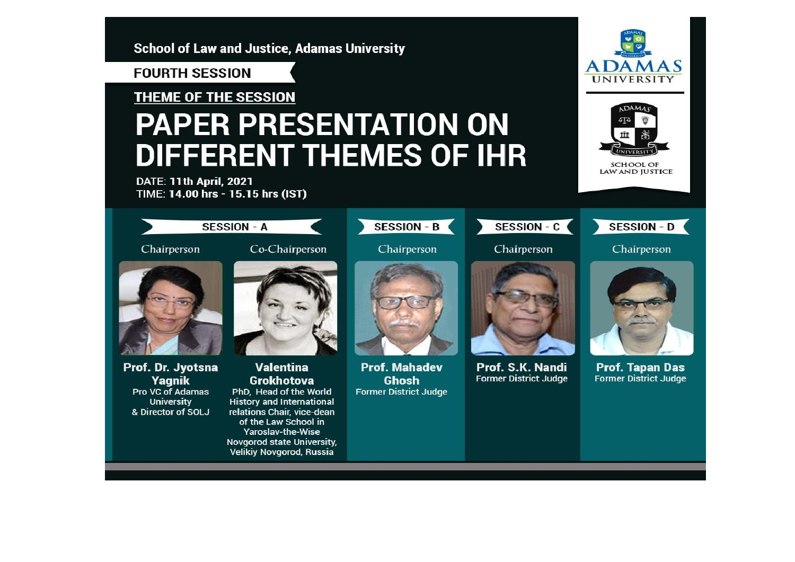## **School of Law and Justice, Adamas University ADAMAS FOURTH SESSION UNIVERSITY** THEME OF THE SESSION **DAM PAPER PRESENTATION ON DIFFERENT THEMES OF IHR SCHOOL OF** LAW AND JUSTICE **DATE: 11th April, 2021** TIME: 14.00 hrs - 15.15 hrs (IST) **SESSION - B SESSION - C SESSION - D SESSION - A** Chairperson Co-Chairperson Chairperson Chairperson Chairperson Prof. Dr. Jyotsna Valentina **Prof. Mahadev** Prof. S.K. Nandi **Prof. Tapan Das Former District Judge Grokhotova Ghosh Former District Judge** Yagnik **Pro VC of Adamas** PhD. Head of the World **Former District Judge University History and International** & Director of SOLJ relations Chair, vice-dean of the Law School in Yaroslav-the-Wise **Novgorod state University. Velikiv Novgorod, Russia**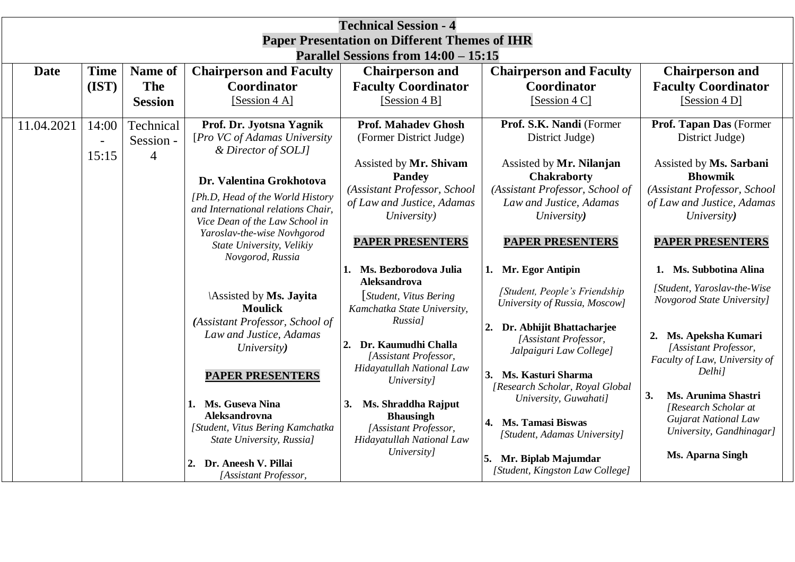| <b>Technical Session - 4</b><br><b>Paper Presentation on Different Themes of IHR</b><br>Parallel Sessions from $14:00 - 15:15$ |                      |                                          |                                                                                                                                                                                                                                                                                                                                               |                                                                                                                                                                                                                                                                                                                                              |                                                                                                                                                                                                                                                                                                                                                                                     |                                                                                                                                                                                                                                                                                                                            |  |  |  |
|--------------------------------------------------------------------------------------------------------------------------------|----------------------|------------------------------------------|-----------------------------------------------------------------------------------------------------------------------------------------------------------------------------------------------------------------------------------------------------------------------------------------------------------------------------------------------|----------------------------------------------------------------------------------------------------------------------------------------------------------------------------------------------------------------------------------------------------------------------------------------------------------------------------------------------|-------------------------------------------------------------------------------------------------------------------------------------------------------------------------------------------------------------------------------------------------------------------------------------------------------------------------------------------------------------------------------------|----------------------------------------------------------------------------------------------------------------------------------------------------------------------------------------------------------------------------------------------------------------------------------------------------------------------------|--|--|--|
| <b>Date</b>                                                                                                                    | <b>Time</b><br>(IST) | Name of<br>The<br><b>Session</b>         | <b>Chairperson and Faculty</b><br>Coordinator<br>[Session 4 A]                                                                                                                                                                                                                                                                                | <b>Chairperson and</b><br><b>Faculty Coordinator</b><br>[Session $4B$ ]                                                                                                                                                                                                                                                                      | <b>Chairperson and Faculty</b><br>Coordinator<br>[Session 4 C]                                                                                                                                                                                                                                                                                                                      | <b>Chairperson and</b><br><b>Faculty Coordinator</b><br>[Session $4$ D]                                                                                                                                                                                                                                                    |  |  |  |
| 11.04.2021                                                                                                                     | 14:00<br>15:15       | Technical<br>Session -<br>$\overline{4}$ | Prof. Dr. Jyotsna Yagnik<br>[Pro VC of Adamas University<br>& Director of SOLJ]<br>Dr. Valentina Grokhotova<br>[Ph.D, Head of the World History<br>and International relations Chair,<br>Vice Dean of the Law School in<br>Yaroslav-the-wise Novhgorod<br>State University, Velikiy                                                           | <b>Prof. Mahadev Ghosh</b><br>(Former District Judge)<br>Assisted by Mr. Shivam<br><b>Pandey</b><br>(Assistant Professor, School<br>of Law and Justice, Adamas<br>University)<br><b>PAPER PRESENTERS</b>                                                                                                                                     | Prof. S.K. Nandi (Former<br>District Judge)<br>Assisted by Mr. Nilanjan<br>Chakraborty<br>(Assistant Professor, School of<br>Law and Justice, Adamas<br>University)<br><b>PAPER PRESENTERS</b>                                                                                                                                                                                      | Prof. Tapan Das (Former<br>District Judge)<br>Assisted by Ms. Sarbani<br><b>Bhowmik</b><br>(Assistant Professor, School<br>of Law and Justice, Adamas<br>University)<br><b>PAPER PRESENTERS</b>                                                                                                                            |  |  |  |
|                                                                                                                                |                      |                                          | Novgorod, Russia<br>Assisted by Ms. Jayita<br><b>Moulick</b><br>(Assistant Professor, School of<br>Law and Justice, Adamas<br>University)<br><b>PAPER PRESENTERS</b><br>Ms. Guseva Nina<br>1.<br><b>Aleksandrovna</b><br>[Student, Vitus Bering Kamchatka<br>State University, Russia]<br>Dr. Aneesh V. Pillai<br>2.<br>[Assistant Professor, | Ms. Bezborodova Julia<br>1.<br><b>Aleksandrova</b><br>[Student, Vitus Bering]<br>Kamchatka State University,<br>Russia]<br>2. Dr. Kaumudhi Challa<br>[Assistant Professor,<br>Hidayatullah National Law<br>University]<br>Ms. Shraddha Rajput<br>3.<br><b>Bhausingh</b><br>[Assistant Professor,<br>Hidayatullah National Law<br>University] | 1. Mr. Egor Antipin<br>[Student, People's Friendship<br>University of Russia, Moscow]<br>2. Dr. Abhijit Bhattacharjee<br>[Assistant Professor,<br>Jalpaiguri Law College]<br>3. Ms. Kasturi Sharma<br>[Research Scholar, Royal Global<br>University, Guwahati]<br>4. Ms. Tamasi Biswas<br>[Student, Adamas University]<br>5. Mr. Biplab Majumdar<br>[Student, Kingston Law College] | Ms. Subbotina Alina<br>1.<br>[Student, Yaroslav-the-Wise<br>Novgorod State University]<br>Ms. Apeksha Kumari<br>2.<br>[Assistant Professor,<br>Faculty of Law, University of<br>Delhi]<br>3.<br>Ms. Arunima Shastri<br>[Research Scholar at<br><b>Gujarat National Law</b><br>University, Gandhinagar]<br>Ms. Aparna Singh |  |  |  |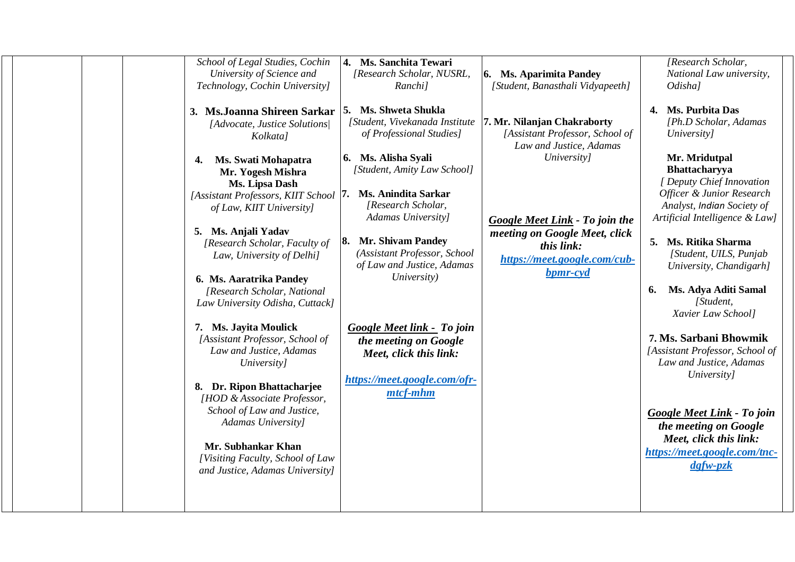| School of Legal Studies, Cochin<br>University of Science and<br>Technology, Cochin University]                | <b>Ms. Sanchita Tewari</b><br>4.<br>[Research Scholar, NUSRL,<br>Ranchi]              | 6. Ms. Aparimita Pandey<br>[Student, Banasthali Vidyapeeth]                               | [Research Scholar,<br>National Law university,<br>Odisha]                                           |
|---------------------------------------------------------------------------------------------------------------|---------------------------------------------------------------------------------------|-------------------------------------------------------------------------------------------|-----------------------------------------------------------------------------------------------------|
| 3. Ms.Joanna Shireen Sarkar<br>[Advocate, Justice Solutions]<br>Kolkata]                                      | Ms. Shweta Shukla<br>5.<br>[Student, Vivekanada Institute<br>of Professional Studies] | 7. Mr. Nilanjan Chakraborty<br>[Assistant Professor, School of<br>Law and Justice, Adamas | 4. Ms. Purbita Das<br>[Ph.D Scholar, Adamas<br>University]                                          |
| Ms. Swati Mohapatra<br>4.<br>Mr. Yogesh Mishra<br>Ms. Lipsa Dash<br>[Assistant Professors, KIIT School  7.    | 6. Ms. Alisha Syali<br>[Student, Amity Law School]<br><b>Ms. Anindita Sarkar</b>      | University]                                                                               | Mr. Mridutpal<br>Bhattacharyya<br>[ Deputy Chief Innovation<br>Officer & Junior Research            |
| of Law, KIIT University]<br>5. Ms. Anjali Yadav                                                               | [Research Scholar,<br>Adamas University]<br>Mr. Shivam Pandey<br>8.                   | <b>Google Meet Link - To join the</b><br>meeting on Google Meet, click                    | Analyst, Indian Society of<br>Artificial Intelligence & Law]<br>5. Ms. Ritika Sharma                |
| [Research Scholar, Faculty of<br>Law, University of Delhi]<br>6. Ms. Aaratrika Pandey                         | (Assistant Professor, School<br>of Law and Justice, Adamas<br>University)             | this link:<br>https://meet.google.com/cub-<br>$bpmr-cyd$                                  | [Student, UILS, Punjab<br>University, Chandigarh]                                                   |
| [Research Scholar, National<br>Law University Odisha, Cuttack]                                                |                                                                                       |                                                                                           | Ms. Adya Aditi Samal<br>6.<br>[Student,<br>Xavier Law School]                                       |
| 7. Ms. Jayita Moulick<br>[Assistant Professor, School of<br>Law and Justice, Adamas<br>University]            | Google Meet link - To join<br>the meeting on Google<br>Meet, click this link:         |                                                                                           | 7. Ms. Sarbani Bhowmik<br>[Assistant Professor, School of<br>Law and Justice, Adamas<br>University] |
| 8. Dr. Ripon Bhattacharjee<br>[HOD & Associate Professor,<br>School of Law and Justice,<br>Adamas University] | https://meet.google.com/ofr-<br>mtcf-mhm                                              |                                                                                           | <b>Google Meet Link - To join</b><br>the meeting on Google                                          |
| Mr. Subhankar Khan<br>[Visiting Faculty, School of Law<br>and Justice, Adamas University]                     |                                                                                       |                                                                                           | Meet, click this link:<br>https://meet.google.com/tnc-<br>$d$ gfw-pz $k$                            |
|                                                                                                               |                                                                                       |                                                                                           |                                                                                                     |